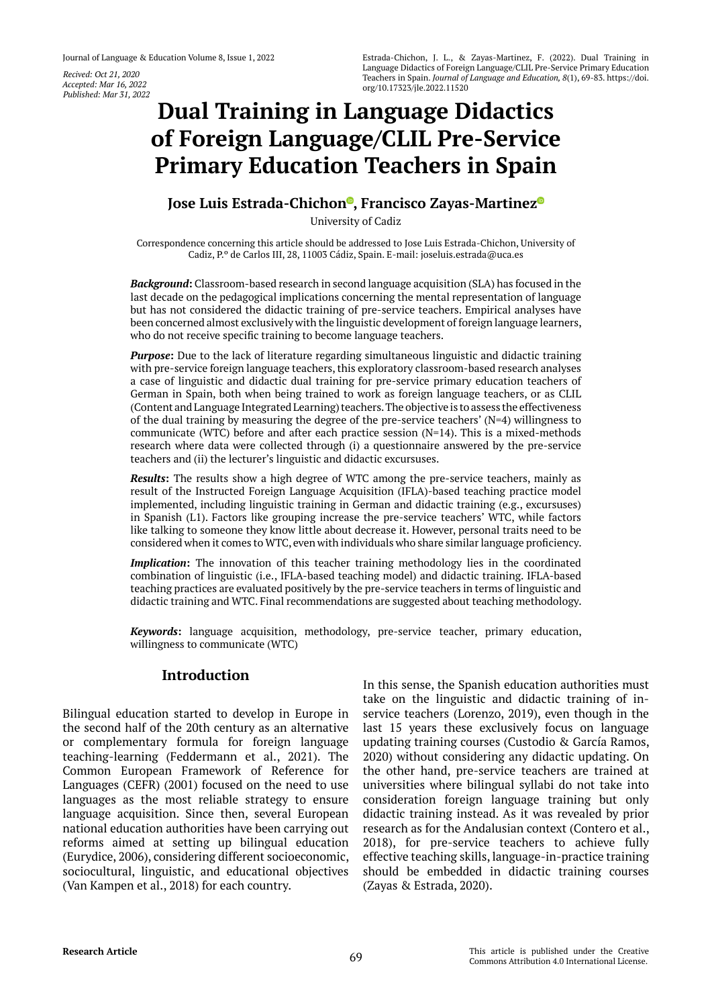*Recived: Oct 21, 2020 Accepted: Mar 16, 2022 Published: Mar 31, 2022*

# **Dual Training in Language Didactics of Foreign Language/CLIL Pre-Service Primary Education Teachers in Spain**

# **Jose Luis Estrada-Chichon<sup>®</sup>[,](https://orcid.org/0000-0003-3274-6133) Francisco Zayas-Martine[z](https://orcid.org/0000-0002-9223-6680)<sup>®</sup>**

University of Cadiz

Correspondence concerning this article should be addressed to Jose Luis Estrada-Chichon, University of Cadiz, P.º de Carlos III, 28, 11003 Cádiz, Spain. E-mail: joseluis.estrada@uca.es

*Background***:** Classroom-based research in second language acquisition (SLA) has focused in the last decade on the pedagogical implications concerning the mental representation of language but has not considered the didactic training of pre-service teachers. Empirical analyses have been concerned almost exclusively with the linguistic development of foreign language learners, who do not receive specific training to become language teachers.

*Purpose***:** Due to the lack of literature regarding simultaneous linguistic and didactic training with pre-service foreign language teachers, this exploratory classroom-based research analyses a case of linguistic and didactic dual training for pre-service primary education teachers of German in Spain, both when being trained to work as foreign language teachers, or as CLIL (Content and Language Integrated Learning) teachers. The objective is to assess the effectiveness of the dual training by measuring the degree of the pre-service teachers'  $(N=4)$  willingness to communicate (WTC) before and after each practice session  $(N=14)$ . This is a mixed-methods research where data were collected through (i) a questionnaire answered by the pre-service teachers and (ii) the lecturer's linguistic and didactic excursuses.

*Results***:** The results show a high degree of WTC among the pre-service teachers, mainly as result of the Instructed Foreign Language Acquisition (IFLA)-based teaching practice model implemented, including linguistic training in German and didactic training (e.g., excursuses) in Spanish (L1). Factors like grouping increase the pre-service teachers' WTC, while factors like talking to someone they know little about decrease it. However, personal traits need to be considered when it comes to WTC, even with individuals who share similar language proficiency.

*Implication***:** The innovation of this teacher training methodology lies in the coordinated combination of linguistic (i.e., IFLA-based teaching model) and didactic training. IFLA-based teaching practices are evaluated positively by the pre-service teachers in terms of linguistic and didactic training and WTC. Final recommendations are suggested about teaching methodology.

*Keywords***:** language acquisition, methodology, pre-service teacher, primary education, willingness to communicate (WTC)

## **Introduction**

Bilingual education started to develop in Europe in the second half of the 20th century as an alternative or complementary formula for foreign language teaching-learning (Feddermann et al., 2021). The Common European Framework of Reference for Languages (CEFR) (2001) focused on the need to use languages as the most reliable strategy to ensure language acquisition. Since then, several European national education authorities have been carrying out reforms aimed at setting up bilingual education (Eurydice, 2006), considering different socioeconomic, sociocultural, linguistic, and educational objectives (Van Kampen et al., 2018) for each country.

In this sense, the Spanish education authorities must take on the linguistic and didactic training of inservice teachers (Lorenzo, 2019), even though in the last 15 years these exclusively focus on language updating training courses (Custodio & García Ramos, 2020) without considering any didactic updating. On the other hand, pre-service teachers are trained at universities where bilingual syllabi do not take into consideration foreign language training but only didactic training instead. As it was revealed by prior research as for the Andalusian context (Contero et al., 2018), for pre-service teachers to achieve fully effective teaching skills, language-in-practice training should be embedded in didactic training courses (Zayas & Estrada, 2020).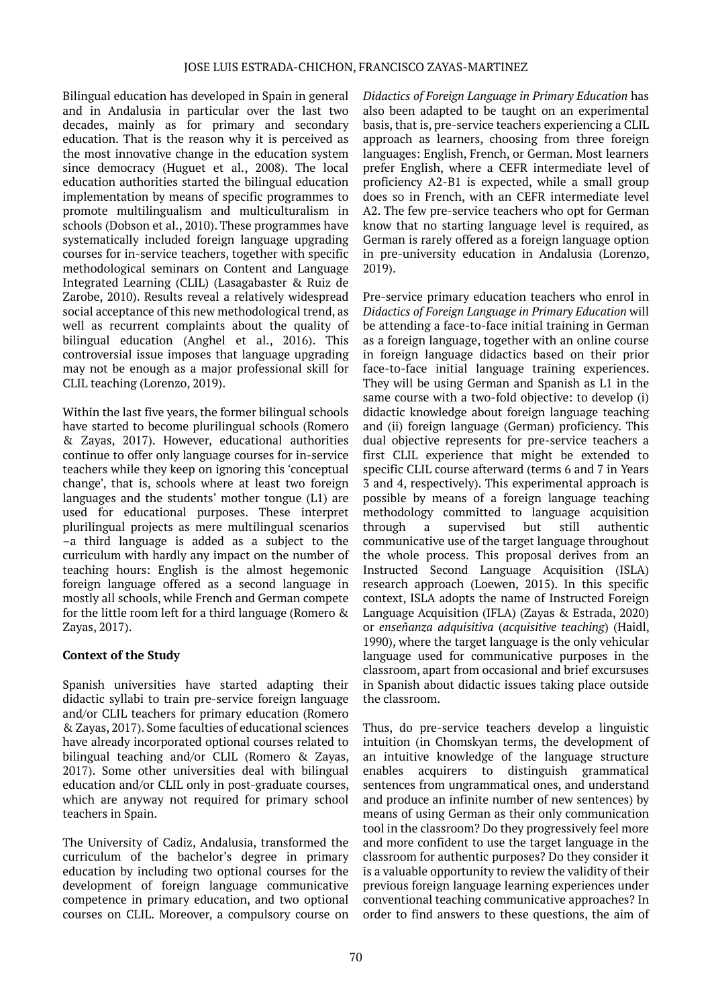Bilingual education has developed in Spain in general and in Andalusia in particular over the last two decades, mainly as for primary and secondary education. That is the reason why it is perceived as the most innovative change in the education system since democracy (Huguet et al., 2008). The local education authorities started the bilingual education implementation by means of specific programmes to promote multilingualism and multiculturalism in schools (Dobson et al., 2010). These programmes have systematically included foreign language upgrading courses for in-service teachers, together with specific methodological seminars on Content and Language Integrated Learning (CLIL) (Lasagabaster & Ruiz de Zarobe, 2010). Results reveal a relatively widespread social acceptance of this new methodological trend, as well as recurrent complaints about the quality of bilingual education (Anghel et al., 2016). This controversial issue imposes that language upgrading may not be enough as a major professional skill for CLIL teaching (Lorenzo, 2019).

Within the last five years, the former bilingual schools have started to become plurilingual schools (Romero & Zayas, 2017). However, educational authorities continue to offer only language courses for in-service teachers while they keep on ignoring this 'conceptual change', that is, schools where at least two foreign languages and the students' mother tongue (L1) are used for educational purposes. These interpret plurilingual projects as mere multilingual scenarios –a third language is added as a subject to the curriculum with hardly any impact on the number of teaching hours: English is the almost hegemonic foreign language offered as a second language in mostly all schools, while French and German compete for the little room left for a third language (Romero & Zayas, 2017).

# **Context of the Study**

Spanish universities have started adapting their didactic syllabi to train pre-service foreign language and/or CLIL teachers for primary education (Romero & Zayas, 2017). Some faculties of educational sciences have already incorporated optional courses related to bilingual teaching and/or CLIL (Romero & Zayas, 2017). Some other universities deal with bilingual education and/or CLIL only in post-graduate courses, which are anyway not required for primary school teachers in Spain.

The University of Cadiz, Andalusia, transformed the curriculum of the bachelor's degree in primary education by including two optional courses for the development of foreign language communicative competence in primary education, and two optional courses on CLIL. Moreover, a compulsory course on

*Didactics of Foreign Language in Primary Education* has also been adapted to be taught on an experimental basis, that is, pre-service teachers experiencing a CLIL approach as learners, choosing from three foreign languages: English, French, or German. Most learners prefer English, where a CEFR intermediate level of proficiency A2-B1 is expected, while a small group does so in French, with an CEFR intermediate level A2. The few pre-service teachers who opt for German know that no starting language level is required, as German is rarely offered as a foreign language option in pre-university education in Andalusia (Lorenzo, 2019).

Pre-service primary education teachers who enrol in *Didactics of Foreign Language in Primary Education* will be attending a face-to-face initial training in German as a foreign language, together with an online course in foreign language didactics based on their prior face-to-face initial language training experiences. They will be using German and Spanish as L1 in the same course with a two-fold objective: to develop (i) didactic knowledge about foreign language teaching and (ii) foreign language (German) proficiency. This dual objective represents for pre-service teachers a first CLIL experience that might be extended to specific CLIL course afterward (terms 6 and 7 in Years 3 and 4, respectively). This experimental approach is possible by means of a foreign language teaching methodology committed to language acquisition through a supervised but still authentic communicative use of the target language throughout the whole process. This proposal derives from an Instructed Second Language Acquisition (ISLA) research approach (Loewen, 2015). In this specific context, ISLA adopts the name of Instructed Foreign Language Acquisition (IFLA) (Zayas & Estrada, 2020) or *enseñanza adquisitiva* (*acquisitive teaching*) (Haidl, 1990), where the target language is the only vehicular language used for communicative purposes in the classroom, apart from occasional and brief excursuses in Spanish about didactic issues taking place outside the classroom.

Thus, do pre-service teachers develop a linguistic intuition (in Chomskyan terms, the development of an intuitive knowledge of the language structure enables acquirers to distinguish grammatical sentences from ungrammatical ones, and understand and produce an infinite number of new sentences) by means of using German as their only communication tool in the classroom? Do they progressively feel more and more confident to use the target language in the classroom for authentic purposes? Do they consider it is a valuable opportunity to review the validity of their previous foreign language learning experiences under conventional teaching communicative approaches? In order to find answers to these questions, the aim of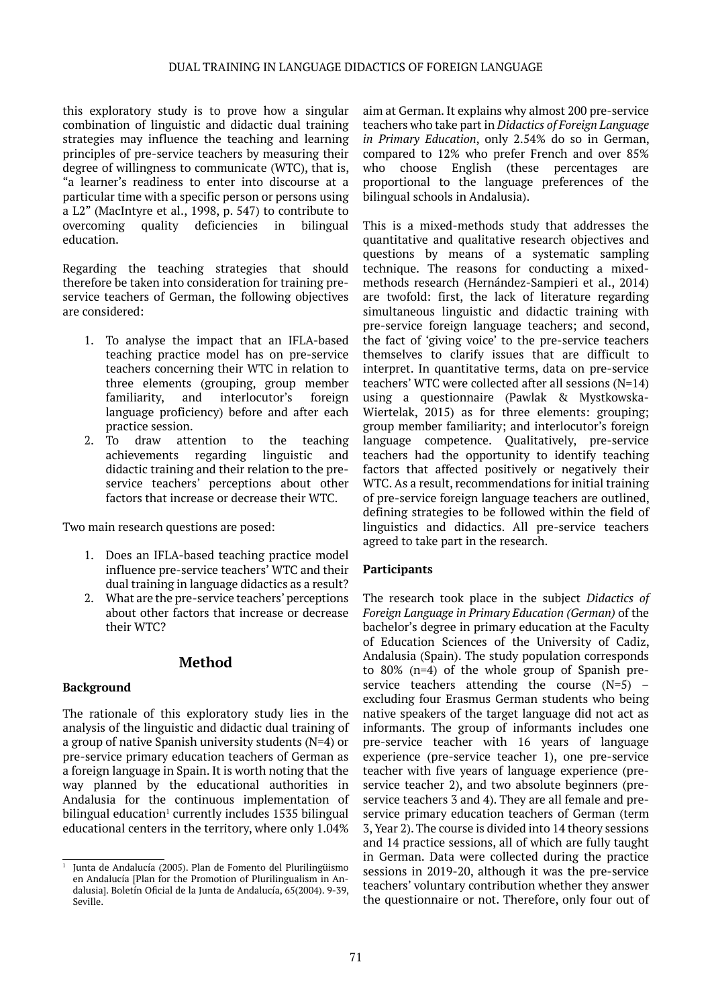this exploratory study is to prove how a singular combination of linguistic and didactic dual training strategies may influence the teaching and learning principles of pre-service teachers by measuring their degree of willingness to communicate (WTC), that is, "a learner's readiness to enter into discourse at a particular time with a specific person or persons using a L2" (MacIntyre et al., 1998, p. 547) to contribute to overcoming quality deficiencies in bilingual education.

Regarding the teaching strategies that should therefore be taken into consideration for training preservice teachers of German, the following objectives are considered:

- 1. To analyse the impact that an IFLA-based teaching practice model has on pre-service teachers concerning their WTC in relation to three elements (grouping, group member familiarity, and interlocutor's foreign language proficiency) before and after each practice session.
- 2. To draw attention to the teaching achievements regarding linguistic and didactic training and their relation to the preservice teachers' perceptions about other factors that increase or decrease their WTC.

Two main research questions are posed:

- 1. Does an IFLA-based teaching practice model influence pre-service teachers' WTC and their dual training in language didactics as a result?
- 2. What are the pre-service teachers' perceptions about other factors that increase or decrease their WTC?

# **Method**

### **Background**

The rationale of this exploratory study lies in the analysis of the linguistic and didactic dual training of a group of native Spanish university students (N=4) or pre-service primary education teachers of German as a foreign language in Spain. It is worth noting that the way planned by the educational authorities in Andalusia for the continuous implementation of bilingual education<sup>1</sup> currently includes 1535 bilingual educational centers in the territory, where only 1.04%

aim at German. It explains why almost 200 pre-service teachers who take part in *Didactics of Foreign Language in Primary Education*, only 2.54% do so in German, compared to 12% who prefer French and over 85% who choose English (these percentages are proportional to the language preferences of the bilingual schools in Andalusia).

This is a mixed-methods study that addresses the quantitative and qualitative research objectives and questions by means of a systematic sampling technique. The reasons for conducting a mixedmethods research (Hernández-Sampieri et al., 2014) are twofold: first, the lack of literature regarding simultaneous linguistic and didactic training with pre-service foreign language teachers; and second, the fact of 'giving voice' to the pre-service teachers themselves to clarify issues that are difficult to interpret. In quantitative terms, data on pre-service teachers' WTC were collected after all sessions (N=14) using a questionnaire (Pawlak & Mystkowska-Wiertelak, 2015) as for three elements: grouping; group member familiarity; and interlocutor's foreign language competence. Qualitatively, pre-service teachers had the opportunity to identify teaching factors that affected positively or negatively their WTC. As a result, recommendations for initial training of pre-service foreign language teachers are outlined, defining strategies to be followed within the field of linguistics and didactics. All pre-service teachers agreed to take part in the research.

### **Participants**

The research took place in the subject *Didactics of Foreign Language in Primary Education (German)* of the bachelor's degree in primary education at the Faculty of Education Sciences of the University of Cadiz, Andalusia (Spain). The study population corresponds to 80% (n=4) of the whole group of Spanish preservice teachers attending the course (N=5) – excluding four Erasmus German students who being native speakers of the target language did not act as informants. The group of informants includes one pre-service teacher with 16 years of language experience (pre-service teacher 1), one pre-service teacher with five years of language experience (preservice teacher 2), and two absolute beginners (preservice teachers 3 and 4). They are all female and preservice primary education teachers of German (term 3, Year 2). The course is divided into 14 theory sessions and 14 practice sessions, all of which are fully taught in German. Data were collected during the practice sessions in 2019-20, although it was the pre-service teachers' voluntary contribution whether they answer the questionnaire or not. Therefore, only four out of

<sup>1</sup> Junta de Andalucía (2005). Plan de Fomento del Plurilingüismo en Andalucía [Plan for the Promotion of Plurilingualism in Andalusia]. Boletín Oficial de la Junta de Andalucía, 65(2004). 9-39, Seville.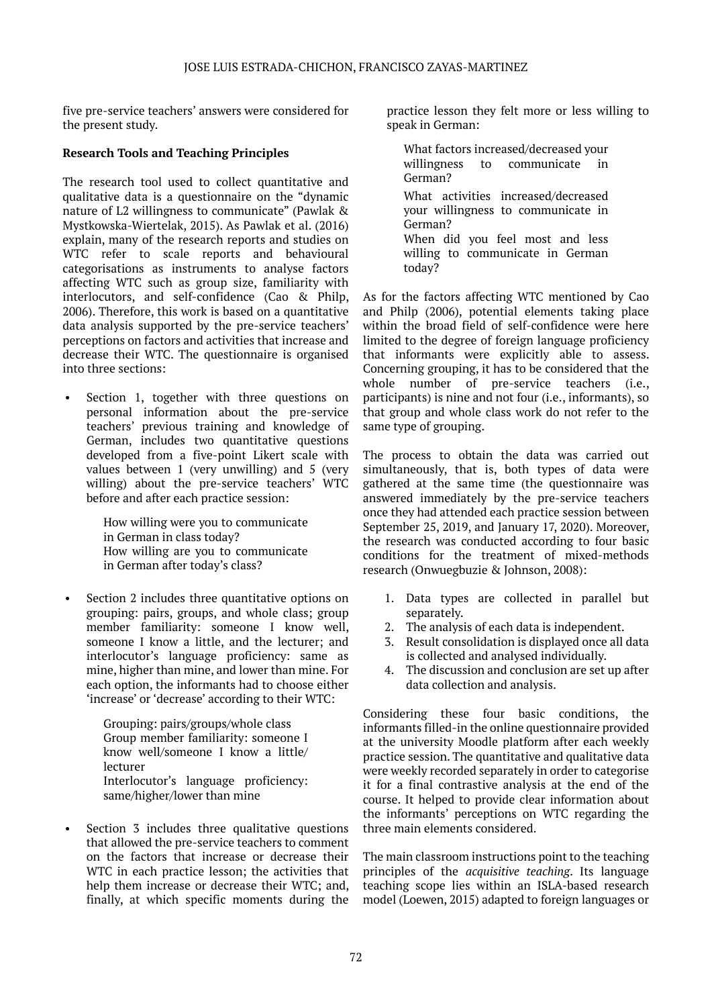five pre-service teachers' answers were considered for the present study.

### **Research Tools and Teaching Principles**

The research tool used to collect quantitative and qualitative data is a questionnaire on the "dynamic nature of L2 willingness to communicate" (Pawlak & Mystkowska-Wiertelak, 2015). As Pawlak et al. (2016) explain, many of the research reports and studies on WTC refer to scale reports and behavioural categorisations as instruments to analyse factors affecting WTC such as group size, familiarity with interlocutors, and self-confidence (Cao & Philp, 2006). Therefore, this work is based on a quantitative data analysis supported by the pre-service teachers' perceptions on factors and activities that increase and decrease their WTC. The questionnaire is organised into three sections:

Section 1, together with three questions on personal information about the pre-service teachers' previous training and knowledge of German, includes two quantitative questions developed from a five-point Likert scale with values between 1 (very unwilling) and 5 (very willing) about the pre-service teachers' WTC before and after each practice session:

> How willing were you to communicate in German in class today? How willing are you to communicate in German after today's class?

Section 2 includes three quantitative options on grouping: pairs, groups, and whole class; group member familiarity: someone I know well, someone I know a little, and the lecturer; and interlocutor's language proficiency: same as mine, higher than mine, and lower than mine. For each option, the informants had to choose either 'increase' or 'decrease' according to their WTC:

> Grouping: pairs/groups/whole class Group member familiarity: someone I know well/someone I know a little/ lecturer Interlocutor's language proficiency: same/higher/lower than mine

Section 3 includes three qualitative questions that allowed the pre-service teachers to comment on the factors that increase or decrease their WTC in each practice lesson; the activities that help them increase or decrease their WTC; and, finally, at which specific moments during the

practice lesson they felt more or less willing to speak in German:

What factors increased/decreased your willingness to communicate in German?

What activities increased/decreased your willingness to communicate in German? When did you feel most and less willing to communicate in German

today?

As for the factors affecting WTC mentioned by Cao and Philp (2006), potential elements taking place within the broad field of self-confidence were here limited to the degree of foreign language proficiency that informants were explicitly able to assess. Concerning grouping, it has to be considered that the whole number of pre-service teachers (i.e., participants) is nine and not four (i.e., informants), so that group and whole class work do not refer to the same type of grouping.

The process to obtain the data was carried out simultaneously, that is, both types of data were gathered at the same time (the questionnaire was answered immediately by the pre-service teachers once they had attended each practice session between September 25, 2019, and January 17, 2020). Moreover, the research was conducted according to four basic conditions for the treatment of mixed-methods research (Onwuegbuzie & Johnson, 2008):

- 1. Data types are collected in parallel but separately.
- 2. The analysis of each data is independent.
- 3. Result consolidation is displayed once all data is collected and analysed individually.
- 4. The discussion and conclusion are set up after data collection and analysis.

Considering these four basic conditions, the informants filled-in the online questionnaire provided at the university Moodle platform after each weekly practice session. The quantitative and qualitative data were weekly recorded separately in order to categorise it for a final contrastive analysis at the end of the course. It helped to provide clear information about the informants' perceptions on WTC regarding the three main elements considered.

The main classroom instructions point to the teaching principles of the *acquisitive teaching*. Its language teaching scope lies within an ISLA-based research model (Loewen, 2015) adapted to foreign languages or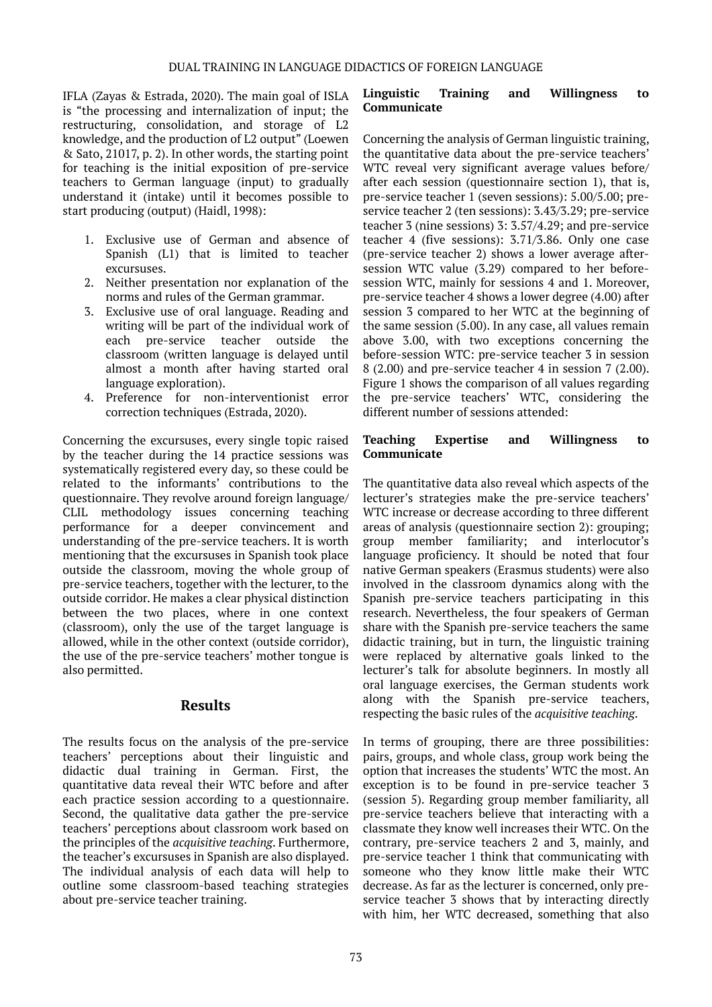IFLA (Zayas & Estrada, 2020). The main goal of ISLA is "the processing and internalization of input; the restructuring, consolidation, and storage of L2 knowledge, and the production of L2 output" (Loewen & Sato, 21017, p. 2). In other words, the starting point for teaching is the initial exposition of pre-service teachers to German language (input) to gradually understand it (intake) until it becomes possible to start producing (output) (Haidl, 1998):

- 1. Exclusive use of German and absence of Spanish (L1) that is limited to teacher excursuses.
- 2. Neither presentation nor explanation of the norms and rules of the German grammar.
- 3. Exclusive use of oral language. Reading and writing will be part of the individual work of each pre-service teacher outside the classroom (written language is delayed until almost a month after having started oral language exploration).
- 4. Preference for non-interventionist error correction techniques (Estrada, 2020).

Concerning the excursuses, every single topic raised by the teacher during the 14 practice sessions was systematically registered every day, so these could be related to the informants' contributions to the questionnaire. They revolve around foreign language/ CLIL methodology issues concerning teaching performance for a deeper convincement and understanding of the pre-service teachers. It is worth mentioning that the excursuses in Spanish took place outside the classroom, moving the whole group of pre-service teachers, together with the lecturer, to the outside corridor. He makes a clear physical distinction between the two places, where in one context (classroom), only the use of the target language is allowed, while in the other context (outside corridor), the use of the pre-service teachers' mother tongue is also permitted.

### **Results**

The results focus on the analysis of the pre-service teachers' perceptions about their linguistic and didactic dual training in German. First, the quantitative data reveal their WTC before and after each practice session according to a questionnaire. Second, the qualitative data gather the pre-service teachers' perceptions about classroom work based on the principles of the *acquisitive teaching*. Furthermore, the teacher's excursuses in Spanish are also displayed. The individual analysis of each data will help to outline some classroom-based teaching strategies about pre-service teacher training.

## **Linguistic Training and Willingness to Communicate**

Concerning the analysis of German linguistic training, the quantitative data about the pre-service teachers' WTC reveal very significant average values before/ after each session (questionnaire section 1), that is, pre-service teacher 1 (seven sessions): 5.00/5.00; preservice teacher 2 (ten sessions): 3.43/3.29; pre-service teacher 3 (nine sessions) 3: 3.57/4.29; and pre-service teacher 4 (five sessions): 3.71/3.86. Only one case (pre-service teacher 2) shows a lower average aftersession WTC value (3.29) compared to her beforesession WTC, mainly for sessions 4 and 1. Moreover, pre-service teacher 4 shows a lower degree (4.00) after session 3 compared to her WTC at the beginning of the same session (5.00). In any case, all values remain above 3.00, with two exceptions concerning the before-session WTC: pre-service teacher 3 in session 8 (2.00) and pre-service teacher 4 in session 7 (2.00). Figure 1 shows the comparison of all values regarding the pre-service teachers' WTC, considering the different number of sessions attended:

### **Teaching Expertise and Willingness to Communicate**

The quantitative data also reveal which aspects of the lecturer's strategies make the pre-service teachers' WTC increase or decrease according to three different areas of analysis (questionnaire section 2): grouping; group member familiarity; and interlocutor's language proficiency. It should be noted that four native German speakers (Erasmus students) were also involved in the classroom dynamics along with the Spanish pre-service teachers participating in this research. Nevertheless, the four speakers of German share with the Spanish pre-service teachers the same didactic training, but in turn, the linguistic training were replaced by alternative goals linked to the lecturer's talk for absolute beginners. In mostly all oral language exercises, the German students work along with the Spanish pre-service teachers, respecting the basic rules of the *acquisitive teaching*.

In terms of grouping, there are three possibilities: pairs, groups, and whole class, group work being the option that increases the students' WTC the most. An exception is to be found in pre-service teacher 3 (session 5). Regarding group member familiarity, all pre-service teachers believe that interacting with a classmate they know well increases their WTC. On the contrary, pre-service teachers 2 and 3, mainly, and pre-service teacher 1 think that communicating with someone who they know little make their WTC decrease. As far as the lecturer is concerned, only preservice teacher 3 shows that by interacting directly with him, her WTC decreased, something that also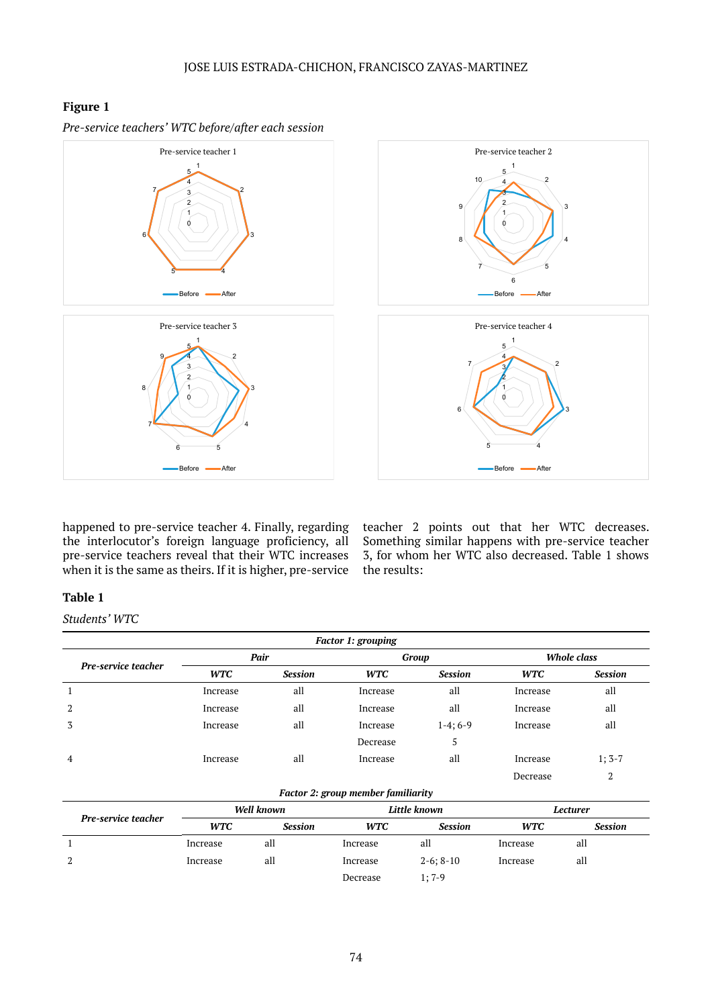# **Figure 1**







happened to pre-service teacher 4. Finally, regarding the interlocutor's foreign language proficiency, all pre-service teachers reveal that their WTC increases when it is the same as theirs. If it is higher, pre-service

teacher 2 points out that her WTC decreases. Something similar happens with pre-service teacher 3, for whom her WTC also decreased. Table 1 shows the results:

**Before After** 

# **Table 1**

*Students' WTC*

| <b>Factor 1: grouping</b> |            |                |            |                |                    |          |
|---------------------------|------------|----------------|------------|----------------|--------------------|----------|
| Pre-service teacher       | Pair       |                | Group      |                | <b>Whole class</b> |          |
|                           | <b>WTC</b> | <b>Session</b> | <b>WTC</b> | <b>Session</b> | <b>WTC</b>         | Session  |
| 1                         | Increase   | all            | Increase   | all            | Increase           | all      |
| 2                         | Increase   | all            | Increase   | all            | Increase           | all      |
| 3                         | Increase   | all            | Increase   | $1-4;6-9$      | Increase           | all      |
|                           |            |                | Decrease   | 5              |                    |          |
| $\overline{4}$            | Increase   | all            | Increase   | all            | Increase           | $1; 3-7$ |
|                           |            |                |            |                | Decrease           | 2        |

### *Factor 2: group member familiarity*

| Pre-service teacher | Well known |                | Little known |                | Lecturer   |                |
|---------------------|------------|----------------|--------------|----------------|------------|----------------|
|                     | <b>WTC</b> | <b>Session</b> | <b>WTC</b>   | <b>Session</b> | <b>WTC</b> | <b>Session</b> |
|                     | Increase   | all            | Increase     | all            | Increase   | all            |
| 2                   | Increase   | all            | Increase     | $2-6$ ; $8-10$ | Increase   | all            |
|                     |            |                | Decrease     | $1:7-9$        |            |                |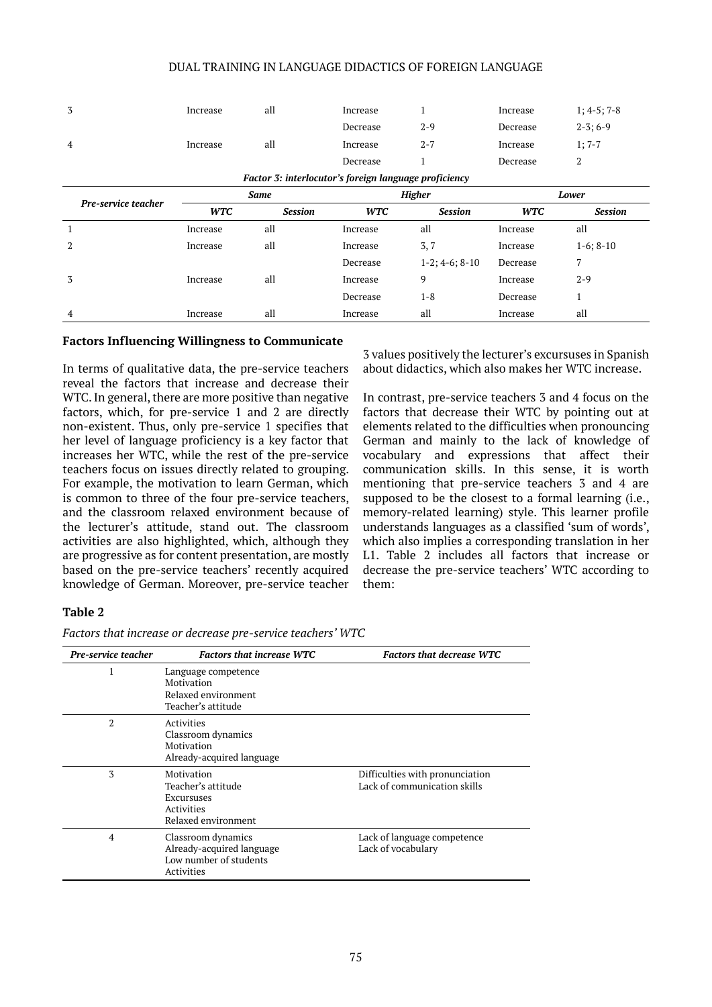#### DUAL TRAINING IN LANGUAGE DIDACTICS OF FOREIGN LANGUAGE

| 3                   | Increase    | all            | Increase                                              | $\mathbf{1}$      | Increase   | $1; 4-5; 7-8$  |  |
|---------------------|-------------|----------------|-------------------------------------------------------|-------------------|------------|----------------|--|
|                     |             |                | Decrease                                              | $2 - 9$           | Decrease   | $2-3; 6-9$     |  |
| 4                   | Increase    | all            | Increase                                              | $2 - 7$           | Increase   | $1; 7-7$       |  |
|                     |             |                | Decrease                                              | 1                 | Decrease   | 2              |  |
|                     |             |                | Factor 3: interlocutor's foreign language proficiency |                   |            |                |  |
| Pre-service teacher | <b>Same</b> |                |                                                       | <b>Higher</b>     | Lower      |                |  |
|                     | <b>WTC</b>  | <b>Session</b> | <b>WTC</b>                                            | <b>Session</b>    | <b>WTC</b> | <b>Session</b> |  |
| $\mathbf{1}$        | Increase    | all            | Increase                                              | all               | Increase   | all            |  |
| 2                   | Increase    | all            | Increase                                              | 3,7               | Increase   | $1-6$ ; $8-10$ |  |
|                     |             |                | Decrease                                              | $1-2$ ; 4-6; 8-10 | Decrease   | $\overline{7}$ |  |
| 3                   | Increase    | all            | Increase                                              | 9                 | Increase   | $2 - 9$        |  |
|                     |             |                | Decrease                                              | $1 - 8$           | Decrease   | 1              |  |
| 4                   | Increase    | all            | Increase                                              | all               | Increase   | all            |  |

#### **Factors Influencing Willingness to Communicate**

In terms of qualitative data, the pre-service teachers reveal the factors that increase and decrease their WTC. In general, there are more positive than negative factors, which, for pre-service 1 and 2 are directly non-existent. Thus, only pre-service 1 specifies that her level of language proficiency is a key factor that increases her WTC, while the rest of the pre-service teachers focus on issues directly related to grouping. For example, the motivation to learn German, which is common to three of the four pre-service teachers, and the classroom relaxed environment because of the lecturer's attitude, stand out. The classroom activities are also highlighted, which, although they are progressive as for content presentation, are mostly based on the pre-service teachers' recently acquired knowledge of German. Moreover, pre-service teacher 3 values positively the lecturer's excursuses in Spanish about didactics, which also makes her WTC increase.

In contrast, pre-service teachers 3 and 4 focus on the factors that decrease their WTC by pointing out at elements related to the difficulties when pronouncing German and mainly to the lack of knowledge of vocabulary and expressions that affect their communication skills. In this sense, it is worth mentioning that pre-service teachers 3 and 4 are supposed to be the closest to a formal learning (i.e., memory-related learning) style. This learner profile understands languages as a classified 'sum of words', which also implies a corresponding translation in her L1. Table 2 includes all factors that increase or decrease the pre-service teachers' WTC according to them:

#### **Table 2**

|  |  |  | Factors that increase or decrease pre-service teachers' WTC |  |
|--|--|--|-------------------------------------------------------------|--|
|  |  |  |                                                             |  |

| Pre-service teacher | <b>Factors that increase WTC</b>                                                        | <b>Factors that decrease WTC</b>                                |
|---------------------|-----------------------------------------------------------------------------------------|-----------------------------------------------------------------|
| I                   | Language competence<br>Motivation<br>Relaxed environment<br>Teacher's attitude          |                                                                 |
| 2                   | Activities<br>Classroom dynamics<br>Motivation<br>Already-acquired language             |                                                                 |
| 3                   | Motivation<br>Teacher's attitude<br>Excursuses<br>Activities<br>Relaxed environment     | Difficulties with pronunciation<br>Lack of communication skills |
| 4                   | Classroom dynamics<br>Already-acquired language<br>Low number of students<br>Activities | Lack of language competence<br>Lack of vocabulary               |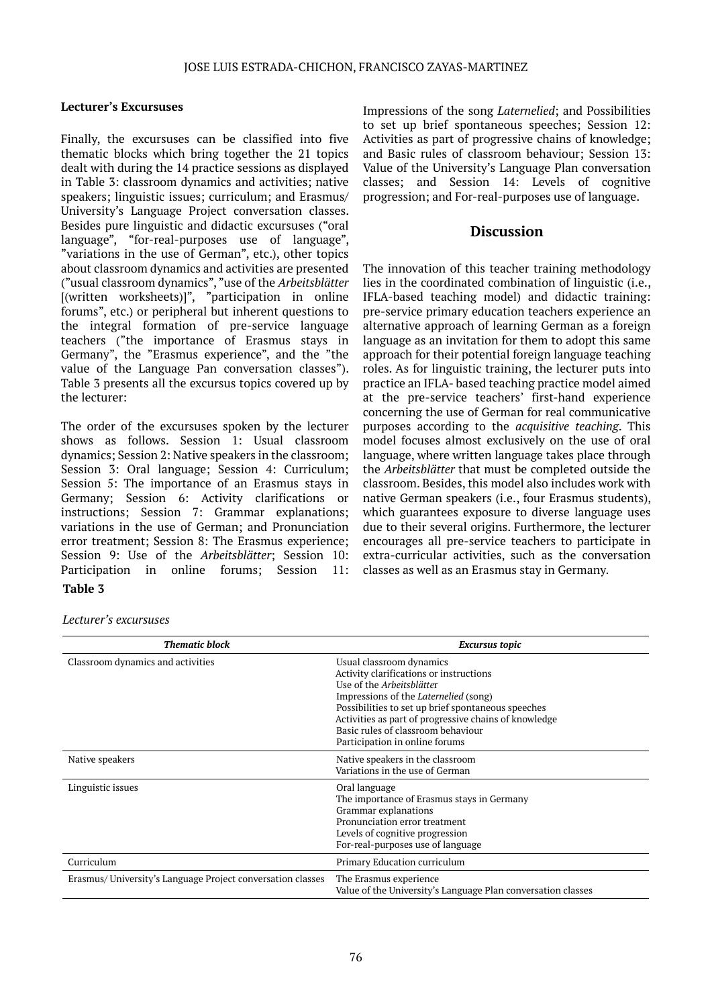### **Lecturer's Excursuses**

Finally, the excursuses can be classified into five thematic blocks which bring together the 21 topics dealt with during the 14 practice sessions as displayed in Table 3: classroom dynamics and activities; native speakers; linguistic issues; curriculum; and Erasmus/ University's Language Project conversation classes. Besides pure linguistic and didactic excursuses ("oral language", "for-real-purposes use of language", "variations in the use of German", etc.), other topics about classroom dynamics and activities are presented ("usual classroom dynamics", "use of the *Arbeitsblätter* [(written worksheets)]", "participation in online forums", etc.) or peripheral but inherent questions to the integral formation of pre-service language teachers ("the importance of Erasmus stays in Germany", the "Erasmus experience", and the "the value of the Language Pan conversation classes"). Table 3 presents all the excursus topics covered up by the lecturer:

The order of the excursuses spoken by the lecturer shows as follows. Session 1: Usual classroom dynamics; Session 2: Native speakers in the classroom; Session 3: Oral language; Session 4: Curriculum; Session 5: The importance of an Erasmus stays in Germany; Session 6: Activity clarifications or instructions; Session 7: Grammar explanations; variations in the use of German; and Pronunciation error treatment; Session 8: The Erasmus experience; Session 9: Use of the *Arbeitsblätter*; Session 10: Participation in online forums; Session 11: **Table 3**

Impressions of the song *Laternelied*; and Possibilities to set up brief spontaneous speeches; Session 12: Activities as part of progressive chains of knowledge; and Basic rules of classroom behaviour; Session 13: Value of the University's Language Plan conversation classes; and Session 14: Levels of cognitive progression; and For-real-purposes use of language.

# **Discussion**

The innovation of this teacher training methodology lies in the coordinated combination of linguistic (i.e., IFLA-based teaching model) and didactic training: pre-service primary education teachers experience an alternative approach of learning German as a foreign language as an invitation for them to adopt this same approach for their potential foreign language teaching roles. As for linguistic training, the lecturer puts into practice an IFLA- based teaching practice model aimed at the pre-service teachers' first-hand experience concerning the use of German for real communicative purposes according to the *acquisitive teaching*. This model focuses almost exclusively on the use of oral language, where written language takes place through the *Arbeitsblätter* that must be completed outside the classroom. Besides, this model also includes work with native German speakers (i.e., four Erasmus students), which guarantees exposure to diverse language uses due to their several origins. Furthermore, the lecturer encourages all pre-service teachers to participate in extra-curricular activities, such as the conversation classes as well as an Erasmus stay in Germany.

#### *Lecturer's excursuses*

| <b>Thematic block</b>                                      | <b>Excursus topic</b>                                                                                                                                                                                                                                                                                                                   |
|------------------------------------------------------------|-----------------------------------------------------------------------------------------------------------------------------------------------------------------------------------------------------------------------------------------------------------------------------------------------------------------------------------------|
| Classroom dynamics and activities                          | Usual classroom dynamics<br>Activity clarifications or instructions<br>Use of the Arbeitsblätter<br>Impressions of the <i>Laternelied</i> (song)<br>Possibilities to set up brief spontaneous speeches<br>Activities as part of progressive chains of knowledge<br>Basic rules of classroom behaviour<br>Participation in online forums |
| Native speakers                                            | Native speakers in the classroom<br>Variations in the use of German                                                                                                                                                                                                                                                                     |
| Linguistic issues                                          | Oral language<br>The importance of Erasmus stays in Germany<br>Grammar explanations<br>Pronunciation error treatment<br>Levels of cognitive progression<br>For-real-purposes use of language                                                                                                                                            |
| Curriculum                                                 | Primary Education curriculum                                                                                                                                                                                                                                                                                                            |
| Erasmus/University's Language Project conversation classes | The Erasmus experience<br>Value of the University's Language Plan conversation classes                                                                                                                                                                                                                                                  |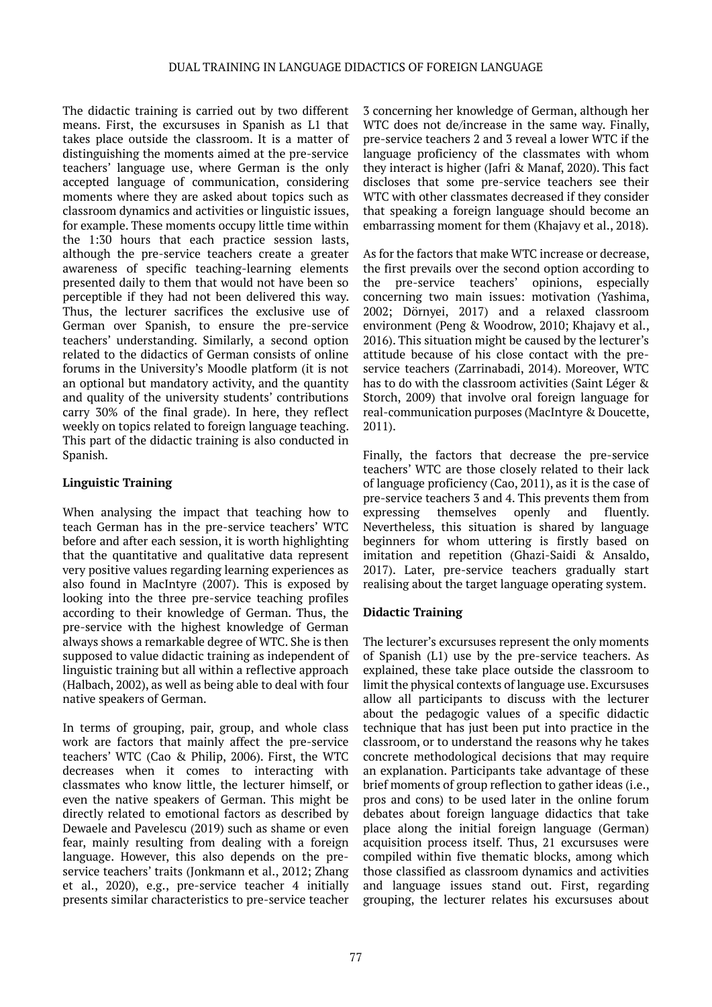The didactic training is carried out by two different means. First, the excursuses in Spanish as L1 that takes place outside the classroom. It is a matter of distinguishing the moments aimed at the pre-service teachers' language use, where German is the only accepted language of communication, considering moments where they are asked about topics such as classroom dynamics and activities or linguistic issues, for example. These moments occupy little time within the 1:30 hours that each practice session lasts, although the pre-service teachers create a greater awareness of specific teaching-learning elements presented daily to them that would not have been so perceptible if they had not been delivered this way. Thus, the lecturer sacrifices the exclusive use of German over Spanish, to ensure the pre-service teachers' understanding. Similarly, a second option related to the didactics of German consists of online forums in the University's Moodle platform (it is not an optional but mandatory activity, and the quantity and quality of the university students' contributions carry 30% of the final grade). In here, they reflect weekly on topics related to foreign language teaching. This part of the didactic training is also conducted in Spanish.

# **Linguistic Training**

When analysing the impact that teaching how to teach German has in the pre-service teachers' WTC before and after each session, it is worth highlighting that the quantitative and qualitative data represent very positive values regarding learning experiences as also found in MacIntyre (2007). This is exposed by looking into the three pre-service teaching profiles according to their knowledge of German. Thus, the pre-service with the highest knowledge of German always shows a remarkable degree of WTC. She is then supposed to value didactic training as independent of linguistic training but all within a reflective approach (Halbach, 2002), as well as being able to deal with four native speakers of German.

In terms of grouping, pair, group, and whole class work are factors that mainly affect the pre-service teachers' WTC (Cao & Philip, 2006). First, the WTC decreases when it comes to interacting with classmates who know little, the lecturer himself, or even the native speakers of German. This might be directly related to emotional factors as described by Dewaele and Pavelescu (2019) such as shame or even fear, mainly resulting from dealing with a foreign language. However, this also depends on the preservice teachers' traits (Jonkmann et al., 2012; Zhang et al., 2020), e.g., pre-service teacher 4 initially presents similar characteristics to pre-service teacher

3 concerning her knowledge of German, although her WTC does not de/increase in the same way. Finally, pre-service teachers 2 and 3 reveal a lower WTC if the language proficiency of the classmates with whom they interact is higher (Jafri & Manaf, 2020). This fact discloses that some pre-service teachers see their WTC with other classmates decreased if they consider that speaking a foreign language should become an embarrassing moment for them (Khajavy et al., 2018).

As for the factors that make WTC increase or decrease, the first prevails over the second option according to the pre-service teachers' opinions, especially concerning two main issues: motivation (Yashima, 2002; Dörnyei, 2017) and a relaxed classroom environment (Peng & Woodrow, 2010; Khajavy et al., 2016). This situation might be caused by the lecturer's attitude because of his close contact with the preservice teachers (Zarrinabadi, 2014). Moreover, WTC has to do with the classroom activities (Saint Léger & Storch, 2009) that involve oral foreign language for real-communication purposes (MacIntyre & Doucette, 2011).

Finally, the factors that decrease the pre-service teachers' WTC are those closely related to their lack of language proficiency (Cao, 2011), as it is the case of pre-service teachers 3 and 4. This prevents them from expressing themselves openly and fluently. Nevertheless, this situation is shared by language beginners for whom uttering is firstly based on imitation and repetition (Ghazi-Saidi & Ansaldo, 2017). Later, pre-service teachers gradually start realising about the target language operating system.

# **Didactic Training**

The lecturer's excursuses represent the only moments of Spanish (L1) use by the pre-service teachers. As explained, these take place outside the classroom to limit the physical contexts of language use. Excursuses allow all participants to discuss with the lecturer about the pedagogic values of a specific didactic technique that has just been put into practice in the classroom, or to understand the reasons why he takes concrete methodological decisions that may require an explanation. Participants take advantage of these brief moments of group reflection to gather ideas (i.e., pros and cons) to be used later in the online forum debates about foreign language didactics that take place along the initial foreign language (German) acquisition process itself. Thus, 21 excursuses were compiled within five thematic blocks, among which those classified as classroom dynamics and activities and language issues stand out. First, regarding grouping, the lecturer relates his excursuses about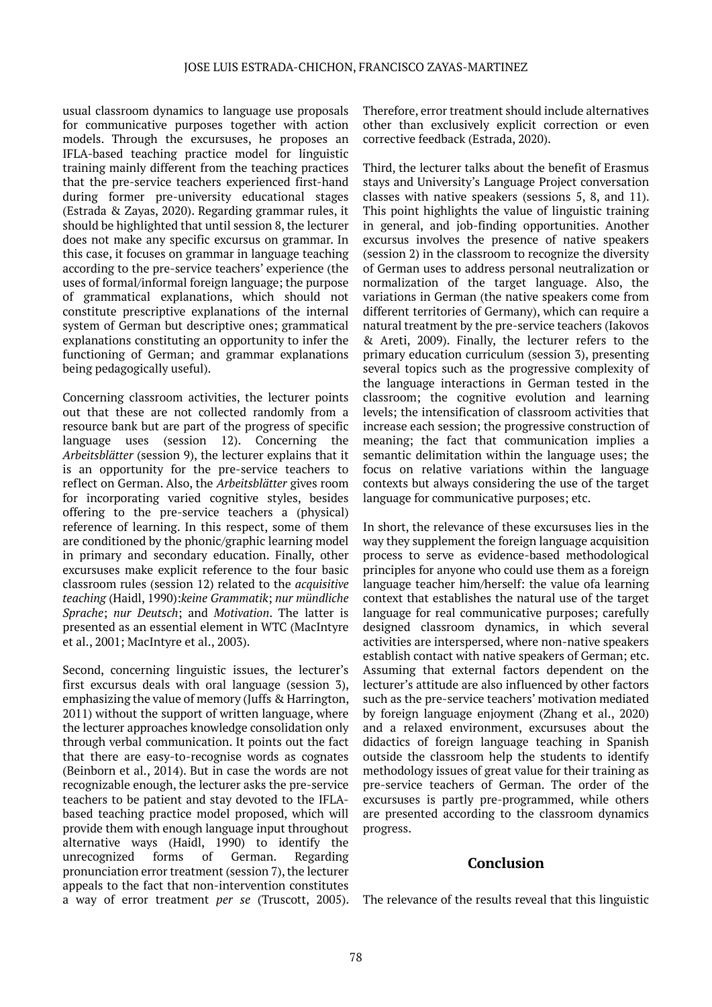usual classroom dynamics to language use proposals for communicative purposes together with action models. Through the excursuses, he proposes an IFLA-based teaching practice model for linguistic training mainly different from the teaching practices that the pre-service teachers experienced first-hand during former pre-university educational stages (Estrada & Zayas, 2020). Regarding grammar rules, it should be highlighted that until session 8, the lecturer does not make any specific excursus on grammar. In this case, it focuses on grammar in language teaching according to the pre-service teachers' experience (the uses of formal/informal foreign language; the purpose of grammatical explanations, which should not constitute prescriptive explanations of the internal system of German but descriptive ones; grammatical explanations constituting an opportunity to infer the functioning of German; and grammar explanations being pedagogically useful).

Concerning classroom activities, the lecturer points out that these are not collected randomly from a resource bank but are part of the progress of specific language uses (session 12). Concerning the *Arbeitsblätter* (session 9), the lecturer explains that it is an opportunity for the pre-service teachers to reflect on German. Also, the *Arbeitsblätter* gives room for incorporating varied cognitive styles, besides offering to the pre-service teachers a (physical) reference of learning. In this respect, some of them are conditioned by the phonic/graphic learning model in primary and secondary education. Finally, other excursuses make explicit reference to the four basic classroom rules (session 12) related to the *acquisitive teaching* (Haidl, 1990):*keine Grammatik*; *nur mündliche Sprache*; *nur Deutsch*; and *Motivation*. The latter is presented as an essential element in WTC (MacIntyre et al., 2001; MacIntyre et al., 2003).

Second, concerning linguistic issues, the lecturer's first excursus deals with oral language (session 3), emphasizing the value of memory (Juffs & Harrington, 2011) without the support of written language, where the lecturer approaches knowledge consolidation only through verbal communication. It points out the fact that there are easy-to-recognise words as cognates (Beinborn et al., 2014). But in case the words are not recognizable enough, the lecturer asks the pre-service teachers to be patient and stay devoted to the IFLAbased teaching practice model proposed, which will provide them with enough language input throughout alternative ways (Haidl, 1990) to identify the unrecognized forms of German. Regarding pronunciation error treatment (session 7), the lecturer appeals to the fact that non-intervention constitutes a way of error treatment *per se* (Truscott, 2005). Therefore, error treatment should include alternatives other than exclusively explicit correction or even corrective feedback (Estrada, 2020).

Third, the lecturer talks about the benefit of Erasmus stays and University's Language Project conversation classes with native speakers (sessions 5, 8, and 11). This point highlights the value of linguistic training in general, and job-finding opportunities. Another excursus involves the presence of native speakers (session 2) in the classroom to recognize the diversity of German uses to address personal neutralization or normalization of the target language. Also, the variations in German (the native speakers come from different territories of Germany), which can require a natural treatment by the pre-service teachers (Iakovos & Areti, 2009). Finally, the lecturer refers to the primary education curriculum (session 3), presenting several topics such as the progressive complexity of the language interactions in German tested in the classroom; the cognitive evolution and learning levels; the intensification of classroom activities that increase each session; the progressive construction of meaning; the fact that communication implies a semantic delimitation within the language uses; the focus on relative variations within the language contexts but always considering the use of the target language for communicative purposes; etc.

In short, the relevance of these excursuses lies in the way they supplement the foreign language acquisition process to serve as evidence-based methodological principles for anyone who could use them as a foreign language teacher him/herself: the value ofa learning context that establishes the natural use of the target language for real communicative purposes; carefully designed classroom dynamics, in which several activities are interspersed, where non-native speakers establish contact with native speakers of German; etc. Assuming that external factors dependent on the lecturer's attitude are also influenced by other factors such as the pre-service teachers' motivation mediated by foreign language enjoyment (Zhang et al., 2020) and a relaxed environment, excursuses about the didactics of foreign language teaching in Spanish outside the classroom help the students to identify methodology issues of great value for their training as pre-service teachers of German. The order of the excursuses is partly pre-programmed, while others are presented according to the classroom dynamics progress.

### **Conclusion**

The relevance of the results reveal that this linguistic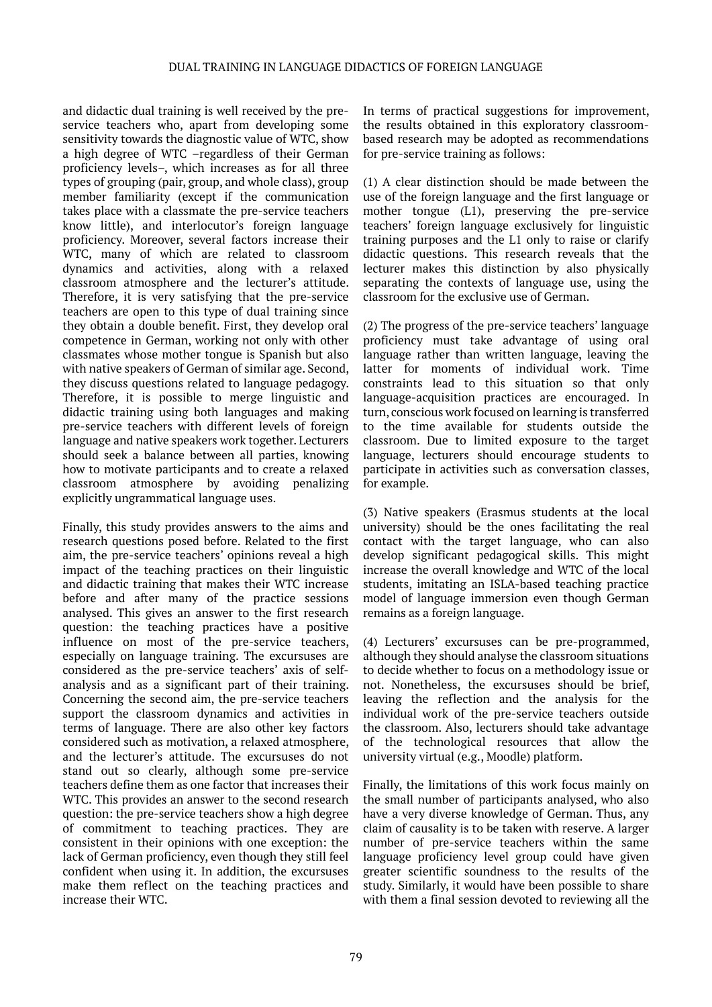and didactic dual training is well received by the preservice teachers who, apart from developing some sensitivity towards the diagnostic value of WTC, show a high degree of WTC –regardless of their German proficiency levels–, which increases as for all three types of grouping (pair, group, and whole class), group member familiarity (except if the communication takes place with a classmate the pre-service teachers know little), and interlocutor's foreign language proficiency. Moreover, several factors increase their WTC, many of which are related to classroom dynamics and activities, along with a relaxed classroom atmosphere and the lecturer's attitude. Therefore, it is very satisfying that the pre-service teachers are open to this type of dual training since they obtain a double benefit. First, they develop oral competence in German, working not only with other classmates whose mother tongue is Spanish but also with native speakers of German of similar age. Second, they discuss questions related to language pedagogy. Therefore, it is possible to merge linguistic and didactic training using both languages and making pre-service teachers with different levels of foreign language and native speakers work together. Lecturers should seek a balance between all parties, knowing how to motivate participants and to create a relaxed classroom atmosphere by avoiding penalizing explicitly ungrammatical language uses.

Finally, this study provides answers to the aims and research questions posed before. Related to the first aim, the pre-service teachers' opinions reveal a high impact of the teaching practices on their linguistic and didactic training that makes their WTC increase before and after many of the practice sessions analysed. This gives an answer to the first research question: the teaching practices have a positive influence on most of the pre-service teachers, especially on language training. The excursuses are considered as the pre-service teachers' axis of selfanalysis and as a significant part of their training. Concerning the second aim, the pre-service teachers support the classroom dynamics and activities in terms of language. There are also other key factors considered such as motivation, a relaxed atmosphere, and the lecturer's attitude. The excursuses do not stand out so clearly, although some pre-service teachers define them as one factor that increases their WTC. This provides an answer to the second research question: the pre-service teachers show a high degree of commitment to teaching practices. They are consistent in their opinions with one exception: the lack of German proficiency, even though they still feel confident when using it. In addition, the excursuses make them reflect on the teaching practices and increase their WTC.

In terms of practical suggestions for improvement, the results obtained in this exploratory classroombased research may be adopted as recommendations for pre-service training as follows:

(1) A clear distinction should be made between the use of the foreign language and the first language or mother tongue (L1), preserving the pre-service teachers' foreign language exclusively for linguistic training purposes and the L1 only to raise or clarify didactic questions. This research reveals that the lecturer makes this distinction by also physically separating the contexts of language use, using the classroom for the exclusive use of German.

(2) The progress of the pre-service teachers' language proficiency must take advantage of using oral language rather than written language, leaving the latter for moments of individual work. Time constraints lead to this situation so that only language-acquisition practices are encouraged. In turn, conscious work focused on learning is transferred to the time available for students outside the classroom. Due to limited exposure to the target language, lecturers should encourage students to participate in activities such as conversation classes, for example.

(3) Native speakers (Erasmus students at the local university) should be the ones facilitating the real contact with the target language, who can also develop significant pedagogical skills. This might increase the overall knowledge and WTC of the local students, imitating an ISLA-based teaching practice model of language immersion even though German remains as a foreign language.

(4) Lecturers' excursuses can be pre-programmed, although they should analyse the classroom situations to decide whether to focus on a methodology issue or not. Nonetheless, the excursuses should be brief, leaving the reflection and the analysis for the individual work of the pre-service teachers outside the classroom. Also, lecturers should take advantage of the technological resources that allow the university virtual (e.g., Moodle) platform.

Finally, the limitations of this work focus mainly on the small number of participants analysed, who also have a very diverse knowledge of German. Thus, any claim of causality is to be taken with reserve. A larger number of pre-service teachers within the same language proficiency level group could have given greater scientific soundness to the results of the study. Similarly, it would have been possible to share with them a final session devoted to reviewing all the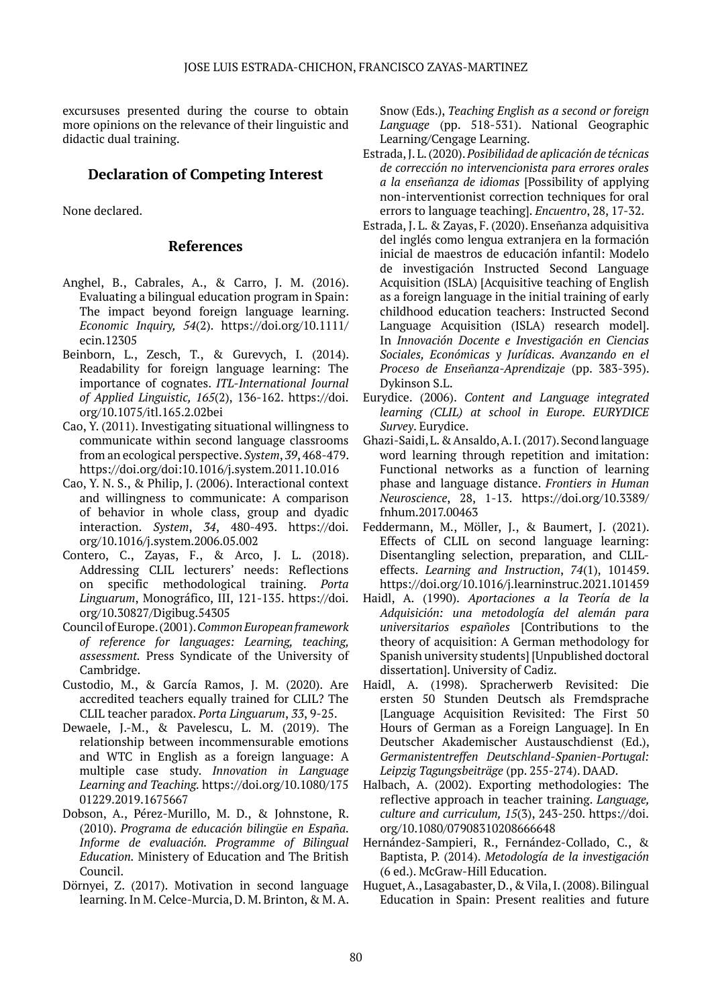excursuses presented during the course to obtain more opinions on the relevance of their linguistic and didactic dual training.

# **Declaration of Competing Interest**

None declared.

### **References**

- Anghel, B., Cabrales, A., & Carro, J. M. (2016). Evaluating a bilingual education program in Spain: The impact beyond foreign language learning. *Economic Inquiry, 54*(2). https://doi.org/10.1111/ ecin.12305
- Beinborn, L., Zesch, T., & Gurevych, I. (2014). Readability for foreign language learning: The importance of cognates. *ITL-International Journal of Applied Linguistic, 165*(2), 136-162. https://doi. org/10.1075/itl.165.2.02bei
- Cao, Y. (2011). Investigating situational willingness to communicate within second language classrooms from an ecological perspective. *System*, *39*, 468-479. https://doi.org/doi:10.1016/j.system.2011.10.016
- Cao, Y. N. S., & Philip, J. (2006). Interactional context and willingness to communicate: A comparison of behavior in whole class, group and dyadic interaction. *System*, *34*, 480-493. https://doi. org/10.1016/j.system.2006.05.002
- Contero, C., Zayas, F., & Arco, J. L. (2018). Addressing CLIL lecturers' needs: Reflections on specific methodological training. *Porta Linguarum*, Monográfico, III, 121-135. https://doi. org/10.30827/Digibug.54305
- Council of Europe. (2001). *Common European framework of reference for languages: Learning, teaching, assessment.* Press Syndicate of the University of Cambridge.
- Custodio, M., & García Ramos, J. M. (2020). Are accredited teachers equally trained for CLIL? The CLIL teacher paradox. *Porta Linguarum*, *33*, 9-25.
- Dewaele, J.-M., & Pavelescu, L. M. (2019). The relationship between incommensurable emotions and WTC in English as a foreign language: A multiple case study. *Innovation in Language Learning and Teaching.* https://doi.org/10.1080/175 01229.2019.1675667
- Dobson, A., Pérez-Murillo, M. D., & Johnstone, R. (2010). *Programa de educación bilingüe en España. Informe de evaluación. Programme of Bilingual Education.* Ministery of Education and The British Council.
- Dörnyei, Z. (2017). Motivation in second language learning. In M. Celce-Murcia, D. M. Brinton, & M. A.

Snow (Eds.), *Teaching English as a second or foreign Language* (pp. 518-531). National Geographic Learning/Cengage Learning.

- Estrada, J. L. (2020). *Posibilidad de aplicación de técnicas de corrección no intervencionista para errores orales a la enseñanza de idiomas* [Possibility of applying non-interventionist correction techniques for oral errors to language teaching]. *Encuentro*, 28, 17-32.
- Estrada, J. L. & Zayas, F. (2020). Enseñanza adquisitiva del inglés como lengua extranjera en la formación inicial de maestros de educación infantil: Modelo de investigación Instructed Second Language Acquisition (ISLA) [Acquisitive teaching of English as a foreign language in the initial training of early childhood education teachers: Instructed Second Language Acquisition (ISLA) research model]. In *Innovación Docente e Investigación en Ciencias Sociales, Económicas y Jurídicas. Avanzando en el Proceso de Enseñanza-Aprendizaje* (pp. 383-395). Dykinson S.L.
- Eurydice. (2006). *Content and Language integrated learning (CLIL) at school in Europe. EURYDICE Survey*. Eurydice.
- Ghazi-Saidi, L. & Ansaldo, A. I. (2017). Second language word learning through repetition and imitation: Functional networks as a function of learning phase and language distance. *Frontiers in Human Neuroscience*, 28, 1-13. https://doi.org/10.3389/ fnhum.2017.00463
- Feddermann, M., Möller, J., & Baumert, J. (2021). Effects of CLIL on second language learning: Disentangling selection, preparation, and CLILeffects. *Learning and Instruction*, *74*(1), 101459. https://doi.org/10.1016/j.learninstruc.2021.101459
- Haidl, A. (1990). *Aportaciones a la Teoría de la Adquisición: una metodología del alemán para universitarios españoles* [Contributions to the theory of acquisition: A German methodology for Spanish university students] [Unpublished doctoral dissertation]. University of Cadiz.
- Haidl, A. (1998). Spracherwerb Revisited: Die ersten 50 Stunden Deutsch als Fremdsprache [Language Acquisition Revisited: The First 50 Hours of German as a Foreign Language]. In En Deutscher Akademischer Austauschdienst (Ed.), *Germanistentreffen Deutschland-Spanien-Portugal: Leipzig Tagungsbeiträge* (pp. 255-274). DAAD.
- Halbach, A. (2002). Exporting methodologies: The reflective approach in teacher training. *Language, culture and curriculum, 15*(3), 243-250. https://doi. org/10.1080/07908310208666648
- Hernández-Sampieri, R., Fernández-Collado, C., & Baptista, P. (2014). *Metodología de la investigación* (6 ed.). McGraw-Hill Education.
- Huguet, A., Lasagabaster, D., & Vila, I. (2008). Bilingual Education in Spain: Present realities and future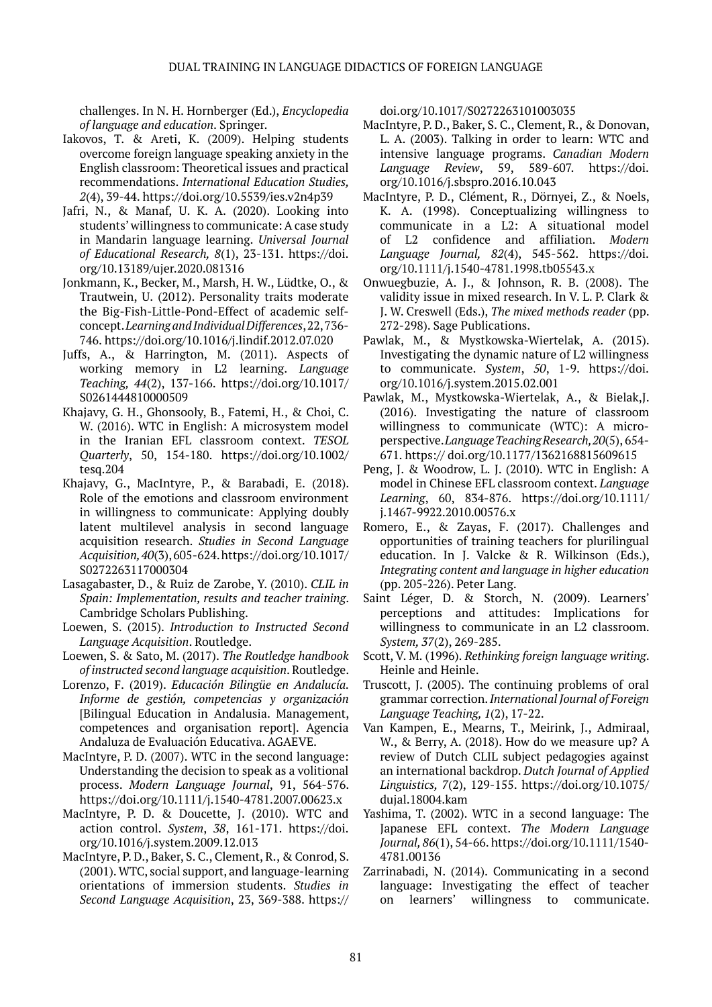challenges. In N. H. Hornberger (Ed.), *Encyclopedia of language and education*. Springer.

- Iakovos, T. & Areti, K. (2009). Helping students overcome foreign language speaking anxiety in the English classroom: Theoretical issues and practical recommendations. *International Education Studies, 2*(4), 39-44. https://doi.org/10.5539/ies.v2n4p39
- Jafri, N., & Manaf, U. K. A. (2020). Looking into students' willingness to communicate: A case study in Mandarin language learning. *Universal Journal of Educational Research, 8*(1), 23-131. https://doi. org/10.13189/ujer.2020.081316
- Jonkmann, K., Becker, M., Marsh, H. W., Lüdtke, O., & Trautwein, U. (2012). Personality traits moderate the Big-Fish-Little-Pond-Effect of academic selfconcept. *Learning and Individual Differences*, 22, 736- 746. https://doi.org/10.1016/j.lindif.2012.07.020
- Juffs, A., & Harrington, M. (2011). Aspects of working memory in L2 learning. *Language Teaching, 44*(2), 137-166. https://doi.org/10.1017/ S0261444810000509
- Khajavy, G. H., Ghonsooly, B., Fatemi, H., & Choi, C. W. (2016). WTC in English: A microsystem model in the Iranian EFL classroom context. *TESOL Quarterly*, 50, 154-180. https://doi.org/10.1002/ tesq.204
- Khajavy, G., MacIntyre, P., & Barabadi, E. (2018). Role of the emotions and classroom environment in willingness to communicate: Applying doubly latent multilevel analysis in second language acquisition research. *Studies in Second Language Acquisition, 40*(3), 605-624. https://doi.org/10.1017/ S0272263117000304
- Lasagabaster, D., & Ruiz de Zarobe, Y. (2010). *CLIL in Spain: Implementation, results and teacher training*. Cambridge Scholars Publishing.
- Loewen, S. (2015). *Introduction to Instructed Second Language Acquisition*. Routledge.
- Loewen, S. & Sato, M. (2017). *The Routledge handbook of instructed second language acquisition*. Routledge.
- Lorenzo, F. (2019). *Educación Bilingüe en Andalucía. Informe de gestión, competencias y organización* [Bilingual Education in Andalusia. Management, competences and organisation report]. Agencia Andaluza de Evaluación Educativa. AGAEVE.
- MacIntyre, P. D. (2007). WTC in the second language: Understanding the decision to speak as a volitional process. *Modern Language Journal*, 91, 564-576. https://doi.org/10.1111/j.1540-4781.2007.00623.x
- MacIntyre, P. D. & Doucette, J. (2010). WTC and action control. *System*, *38*, 161-171. https://doi. org/10.1016/j.system.2009.12.013
- MacIntyre, P. D., Baker, S. C., Clement, R., & Conrod, S. (2001). WTC, social support, and language-learning orientations of immersion students. *Studies in Second Language Acquisition*, 23, 369-388. https://

doi.org/10.1017/S0272263101003035

- MacIntyre, P. D., Baker, S. C., Clement, R., & Donovan, L. A. (2003). Talking in order to learn: WTC and intensive language programs. *Canadian Modern Language Review*, 59, 589-607. https://doi. org/10.1016/j.sbspro.2016.10.043
- MacIntyre, P. D., Clément, R., Dörnyei, Z., & Noels, K. A. (1998). Conceptualizing willingness to communicate in a L2: A situational model of L2 confidence and affiliation. *Modern Language Journal, 82*(4), 545-562. https://doi. org/10.1111/j.1540-4781.1998.tb05543.x
- Onwuegbuzie, A. J., & Johnson, R. B. (2008). The validity issue in mixed research. In V. L. P. Clark & J. W. Creswell (Eds.), *The mixed methods reader* (pp. 272-298). Sage Publications.
- Pawlak, M., & Mystkowska-Wiertelak, A. (2015). Investigating the dynamic nature of L2 willingness to communicate. *System*, *50*, 1-9. https://doi. org/10.1016/j.system.2015.02.001
- Pawlak, M., Mystkowska-Wiertelak, A., & Bielak,J. (2016). Investigating the nature of classroom willingness to communicate (WTC): A microperspective. *Language Teaching Research, 20*(5), 654- 671. https:// doi.org/10.1177/1362168815609615
- Peng, J. & Woodrow, L. J. (2010). WTC in English: A model in Chinese EFL classroom context. *Language Learning*, 60, 834-876. https://doi.org/10.1111/ j.1467-9922.2010.00576.x
- Romero, E., & Zayas, F. (2017). Challenges and opportunities of training teachers for plurilingual education. In J. Valcke & R. Wilkinson (Eds.), *Integrating content and language in higher education* (pp. 205-226). Peter Lang.
- Saint Léger, D. & Storch, N. (2009). Learners' perceptions and attitudes: Implications for willingness to communicate in an L2 classroom. *System, 37*(2), 269-285.
- Scott, V. M. (1996). *Rethinking foreign language writing*. Heinle and Heinle.
- Truscott, J. (2005). The continuing problems of oral grammar correction. *International Journal of Foreign Language Teaching, 1*(2), 17-22.
- Van Kampen, E., Mearns, T., Meirink, J., Admiraal, W., & Berry, A. (2018). How do we measure up? A review of Dutch CLIL subject pedagogies against an international backdrop. *Dutch Journal of Applied Linguistics, 7*(2), 129-155. https://doi.org/10.1075/ dujal.18004.kam
- Yashima, T. (2002). WTC in a second language: The Japanese EFL context. *The Modern Language Journal, 86*(1), 54-66. https://doi.org/10.1111/1540- 4781.00136
- Zarrinabadi, N. (2014). Communicating in a second language: Investigating the effect of teacher on learners' willingness to communicate.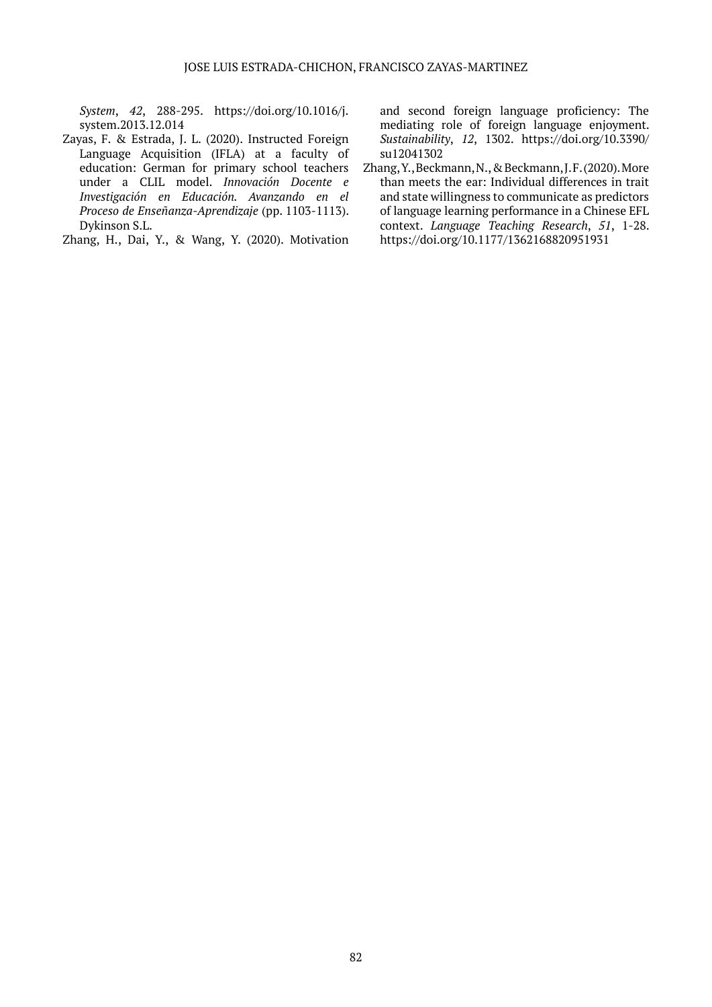*System*, *42*, 288-295. https://doi.org/10.1016/j. system.2013.12.014

- Zayas, F. & Estrada, J. L. (2020). Instructed Foreign Language Acquisition (IFLA) at a faculty of education: German for primary school teachers under a CLIL model. *Innovación Docente e Investigación en Educación. Avanzando en el Proceso de Enseñanza-Aprendizaje* (pp. 1103-1113). Dykinson S.L.
- Zhang, H., Dai, Y., & Wang, Y. (2020). Motivation

and second foreign language proficiency: The mediating role of foreign language enjoyment. *Sustainability*, *12*, 1302. https://doi.org/10.3390/ su12041302

Zhang, Y., Beckmann, N., & Beckmann, J. F. (2020). More than meets the ear: Individual differences in trait and state willingness to communicate as predictors of language learning performance in a Chinese EFL context. *Language Teaching Research*, *51*, 1-28. https://doi.org/10.1177/1362168820951931